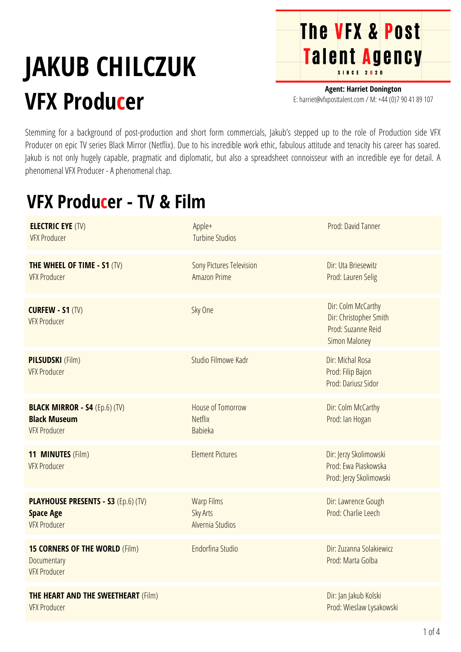# **JAKUB CHILCZUK VFX Producer**

**Agent: Harriet Donington** E: harriet@vfxposttalent.com / M:+44(0)7904189107

**The VFX & Post** 

Talent Agency

Stemming for a background of post-production and short form commercials, Jakub's stepped up to the role of Production side VFX Producer on epic TV series Black Mirror (Netflix). Due to his incredible work ethic, fabulous attitude and tenacity his career has soared. Jakub is not only hugely capable, pragmatic and diplomatic, but also a spreadsheet connoisseur with an incredible eye for detail. A phenomenal VFX Producer - A phenomenal chap.

## **VFX Producer - TV & Film**

| <b>ELECTRIC EYE (TV)</b><br><b>VFX Producer</b>                                       | Apple+<br><b>Turbine Studios</b>                         | Prod: David Tanner                                                                         |
|---------------------------------------------------------------------------------------|----------------------------------------------------------|--------------------------------------------------------------------------------------------|
| THE WHEEL OF TIME - S1 (TV)<br><b>VFX Producer</b>                                    | <b>Sony Pictures Television</b><br><b>Amazon Prime</b>   | Dir: Uta Briesewitz<br>Prod: Lauren Selig                                                  |
| <b>CURFEW - S1 <math>(TV)</math></b><br><b>VFX Producer</b>                           | Sky One                                                  | Dir: Colm McCarthy<br>Dir: Christopher Smith<br>Prod: Suzanne Reid<br><b>Simon Maloney</b> |
| <b>PILSUDSKI</b> (Film)<br><b>VFX Producer</b>                                        | Studio Filmowe Kadr                                      | Dir: Michal Rosa<br>Prod: Filip Bajon<br>Prod: Dariusz Sidor                               |
| <b>BLACK MIRROR - S4 (Ep.6) (TV)</b><br><b>Black Museum</b><br><b>VFX Producer</b>    | House of Tomorrow<br><b>Netflix</b><br><b>Babieka</b>    | Dir: Colm McCarthy<br>Prod: Ian Hogan                                                      |
| 11 MINUTES (Film)<br><b>VFX Producer</b>                                              | <b>Element Pictures</b>                                  | Dir: Jerzy Skolimowski<br>Prod: Ewa Piaskowska<br>Prod: Jerzy Skolimowski                  |
| <b>PLAYHOUSE PRESENTS - S3 (Ep.6) (TV)</b><br><b>Space Age</b><br><b>VFX Producer</b> | <b>Warp Films</b><br><b>Sky Arts</b><br>Alvernia Studios | Dir: Lawrence Gough<br>Prod: Charlie Leech                                                 |
| <b>15 CORNERS OF THE WORLD (Film)</b><br>Documentary<br><b>VFX Producer</b>           | Endorfina Studio                                         | Dir: Zuzanna Solakiewicz<br>Prod: Marta Golba                                              |
| <b>THE HEART AND THE SWEETHEART (Film)</b><br><b>VFX Producer</b>                     |                                                          | Dir: Jan Jakub Kolski<br>Prod: Wieslaw Lysakowski                                          |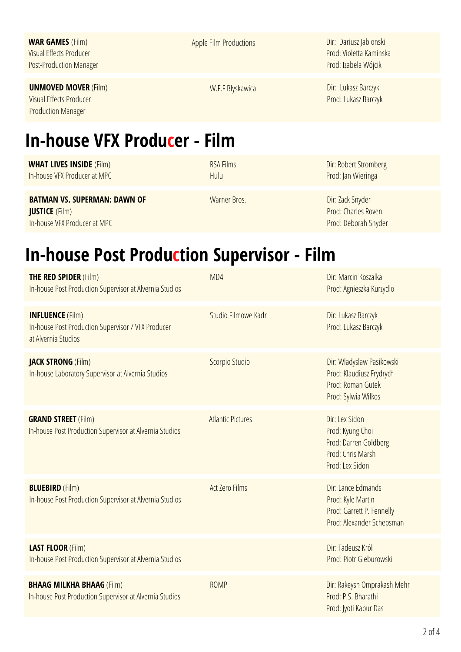| <b>WAR GAMES (Film)</b><br>Visual Effects Producer<br><b>Post-Production Manager</b>       | Apple Film Productions               | Dir: Dariusz Jablonski<br>Prod: Violetta Kaminska<br>Prod: Izabela Wójcik |  |
|--------------------------------------------------------------------------------------------|--------------------------------------|---------------------------------------------------------------------------|--|
| <b>UNMOVED MOVER (Film)</b><br><b>Visual Effects Producer</b><br><b>Production Manager</b> | W.F.F Blyskawica                     | Dir: Lukasz Barczyk<br>Prod: Lukasz Barczyk                               |  |
|                                                                                            | <u> In-house VFX Producer - Film</u> |                                                                           |  |
|                                                                                            |                                      |                                                                           |  |
| <b>WHAT LIVES INSIDE (Film)</b><br>In-house VFX Producer at MPC                            | <b>RSA Films</b><br>Hulu             | Dir: Robert Stromberg<br>Prod: Jan Wieringa                               |  |

# **In-house Post Production Supervisor - Film**

| <b>THE RED SPIDER (Film)</b><br>In-house Post Production Supervisor at Alvernia Studios              | MD4                      | Dir: Marcin Koszalka<br>Prod: Agnieszka Kurzydlo                                                    |
|------------------------------------------------------------------------------------------------------|--------------------------|-----------------------------------------------------------------------------------------------------|
| <b>INFLUENCE (Film)</b><br>In-house Post Production Supervisor / VFX Producer<br>at Alvernia Studios | Studio Filmowe Kadr      | Dir: Lukasz Barczyk<br>Prod: Lukasz Barczyk                                                         |
| <b>JACK STRONG (Film)</b><br>In-house Laboratory Supervisor at Alvernia Studios                      | Scorpio Studio           | Dir: Wladyslaw Pasikowski<br>Prod: Klaudiusz Frydrych<br>Prod: Roman Gutek<br>Prod: Sylwia Wilkos   |
| <b>GRAND STREET</b> (Film)<br>In-house Post Production Supervisor at Alvernia Studios                | <b>Atlantic Pictures</b> | Dir: Lex Sidon<br>Prod: Kyung Choi<br>Prod: Darren Goldberg<br>Prod: Chris Marsh<br>Prod: Lex Sidon |
| <b>BLUEBIRD</b> (Film)<br>In-house Post Production Supervisor at Alvernia Studios                    | <b>Act Zero Films</b>    | Dir: Lance Edmands<br>Prod: Kyle Martin<br>Prod: Garrett P. Fennelly<br>Prod: Alexander Schepsman   |
| <b>LAST FLOOR (Film)</b><br>In-house Post Production Supervisor at Alvernia Studios                  |                          | Dir: Tadeusz Król<br>Prod: Piotr Gieburowski                                                        |
| <b>BHAAG MILKHA BHAAG (Film)</b><br>In-house Post Production Supervisor at Alvernia Studios          | <b>ROMP</b>              | Dir: Rakeysh Omprakash Mehr<br>Prod: P.S. Bharathi<br>Prod: Jyoti Kapur Das                         |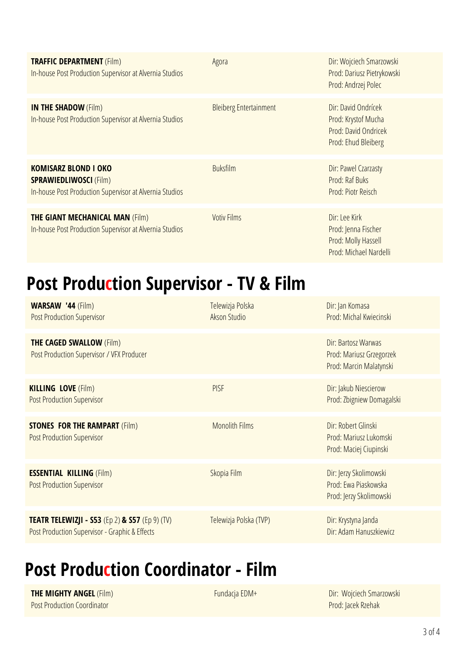| <b>TRAFFIC DEPARTMENT (Film)</b><br>In-house Post Production Supervisor at Alvernia Studios                             | Agora                         | Dir: Wojciech Smarzowski<br>Prod: Dariusz Pietrykowski<br>Prod: Andrzej Polec             |
|-------------------------------------------------------------------------------------------------------------------------|-------------------------------|-------------------------------------------------------------------------------------------|
| <b>IN THE SHADOW (Film)</b><br>In-house Post Production Supervisor at Alvernia Studios                                  | <b>Bleiberg Entertainment</b> | Dir: David Ondrícek<br>Prod: Krystof Mucha<br>Prod: David Ondricek<br>Prod: Ehud Bleiberg |
| <b>KOMISARZ BLOND I OKO</b><br><b>SPRAWIEDLIWOSCI (Film)</b><br>In-house Post Production Supervisor at Alvernia Studios | <b>Buksfilm</b>               | Dir: Pawel Czarzasty<br>Prod: Raf Buks<br>Prod: Piotr Reisch                              |
| <b>THE GIANT MECHANICAL MAN (Film)</b><br>In-house Post Production Supervisor at Alvernia Studios                       | <b>Votiv Films</b>            | Dir: Lee Kirk<br>Prod: Jenna Fischer<br>Prod: Molly Hassell<br>Prod: Michael Nardelli     |

## **Post Production Supervisor - TV & Film**

| <b>WARSAW '44 (Film)</b><br><b>Post Production Supervisor</b>                                           | Telewizja Polska<br>Akson Studio | Dir: Jan Komasa<br>Prod: Michal Kwiecinski                                 |
|---------------------------------------------------------------------------------------------------------|----------------------------------|----------------------------------------------------------------------------|
| <b>THE CAGED SWALLOW (Film)</b><br>Post Production Supervisor / VFX Producer                            |                                  | Dir: Bartosz Warwas<br>Prod: Mariusz Grzegorzek<br>Prod: Marcin Malatynski |
| <b>KILLING LOVE (Film)</b><br><b>Post Production Supervisor</b>                                         | <b>PISF</b>                      | Dir: Jakub Niescierow<br>Prod: Zbigniew Domagalski                         |
| <b>STONES FOR THE RAMPART (Film)</b><br><b>Post Production Supervisor</b>                               | <b>Monolith Films</b>            | Dir: Robert Glinski<br>Prod: Mariusz Lukomski<br>Prod: Maciej Ciupinski    |
| <b>ESSENTIAL KILLING (Film)</b><br><b>Post Production Supervisor</b>                                    | Skopia Film                      | Dir: Jerzy Skolimowski<br>Prod: Ewa Piaskowska<br>Prod: Jerzy Skolimowski  |
| <b>TEATR TELEWIZJI - S53</b> (Ep 2) & S57 (Ep 9) (TV)<br>Post Production Supervisor - Graphic & Effects | Telewizja Polska (TVP)           | Dir: Krystyna Janda<br>Dir: Adam Hanuszkiewicz                             |

## **Post Production Coordinator - Film**

**THE MIGHTY ANGEL** (Film) Post Production Coordinator

Fundacja EDM+

Dir: Wojciech Smarzowski Prod: Jacek Rzehak